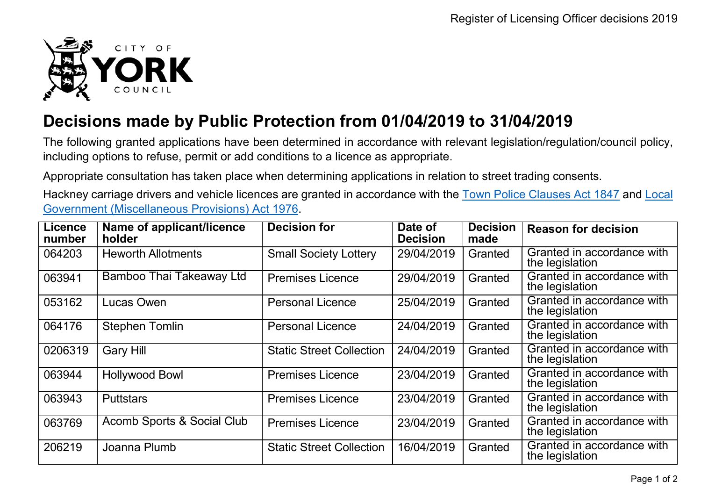

## **Decisions made by Public Protection from 01/04/2019 to 31/04/2019**

The following granted applications have been determined in accordance with relevant legislation/regulation/council policy, including options to refuse, permit or add conditions to a licence as appropriate.

Appropriate consultation has taken place when determining applications in relation to street trading consents.

Hackney carriage drivers and vehicle licences are granted in accordance with the Town Police [Clauses](http://www.legislation.gov.uk/ukpga/Vict/10-11/89) Act 1847 and [Local](http://www.legislation.gov.uk/ukpga/1976/57) [Government \(Miscellaneous Provisions\) Act 1976.](http://www.legislation.gov.uk/ukpga/1976/57)

| <b>Licence</b><br>number | Name of applicant/licence<br>holder | <b>Decision for</b>             | Date of<br><b>Decision</b> | <b>Decision</b><br>made | <b>Reason for decision</b>                    |
|--------------------------|-------------------------------------|---------------------------------|----------------------------|-------------------------|-----------------------------------------------|
| 064203                   | <b>Heworth Allotments</b>           | <b>Small Society Lottery</b>    | 29/04/2019                 | Granted                 | Granted in accordance with<br>the legislation |
| 063941                   | Bamboo Thai Takeaway Ltd            | <b>Premises Licence</b>         | 29/04/2019                 | Granted                 | Granted in accordance with<br>the legislation |
| 053162                   | Lucas Owen                          | <b>Personal Licence</b>         | 25/04/2019                 | Granted                 | Granted in accordance with<br>the legislation |
| 064176                   | <b>Stephen Tomlin</b>               | <b>Personal Licence</b>         | 24/04/2019                 | Granted                 | Granted in accordance with<br>the legislation |
| 0206319                  | <b>Gary Hill</b>                    | <b>Static Street Collection</b> | 24/04/2019                 | Granted                 | Granted in accordance with<br>the legislation |
| 063944                   | <b>Hollywood Bowl</b>               | <b>Premises Licence</b>         | 23/04/2019                 | Granted                 | Granted in accordance with<br>the legislation |
| 063943                   | <b>Puttstars</b>                    | <b>Premises Licence</b>         | 23/04/2019                 | Granted                 | Granted in accordance with<br>the legislation |
| 063769                   | Acomb Sports & Social Club          | <b>Premises Licence</b>         | 23/04/2019                 | Granted                 | Granted in accordance with<br>the legislation |
| 206219                   | Joanna Plumb                        | <b>Static Street Collection</b> | 16/04/2019                 | Granted                 | Granted in accordance with<br>the legislation |